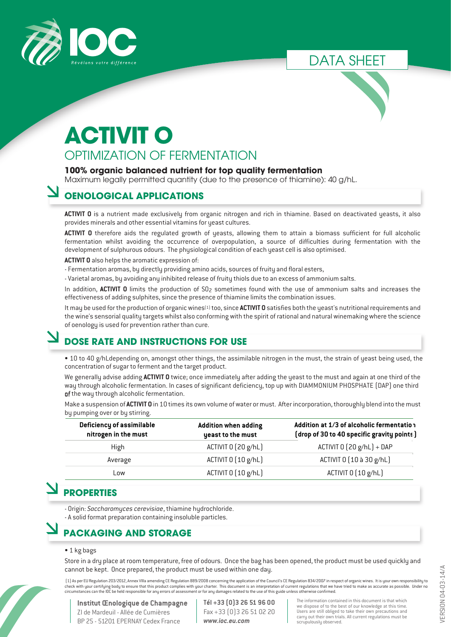

DATA SHEET



## **ACTIVIT O** OPTIMIZATION OF FERMENTATION

#### **100% organic balanced nutrient for top quality fermentation**

Maximum legally permitted quantity (due to the presence of thiamine): 40 g/hL.

## **OENOLOGICAL APPLICATIONS**

**ACTIVIT O** is a nutrient made exclusively from organic nitrogen and rich in thiamine. Based on deactivated yeasts, it also provides minerals and other essential vitamins for yeast cultures.

**ACTIVIT O** therefore aids the regulated growth of yeasts, allowing them to attain a biomass sufficient for full alcoholic fermentation whilst avoiding the occurrence of overpopulation, a source of difficulties during fermentation with the development of sulphurous odours. The physiological condition of each yeast cell is also optimised.

**ACTIVIT O** also helps the aromatic expression of:

- Fermentation aromas, by directly providing amino acids, sources of fruity and floral esters,
- Varietal aromas, by avoiding any inhibited release of fruity thiols due to an excess of ammonium salts.

In addition, **ACTIVIT O** limits the production of SO<sub>2</sub> sometimes found with the use of ammonium salts and increases the effectiveness of adding sulphites, since the presence of thiamine limits the combination issues.

It may be used for the production of organic wines(1) too, since **ACTIVIT O** satisfies both the yeast's nutritional requirements and the wine's sensorial quality targets whilst also conforming with the spirit of rational and natural winemaking where the science of oenology is used for prevention rather than cure.

## **DOSE RATE AND INSTRUCTIONS FOR USE**

• 10 to 40 g/hLdepending on, amongst other things, the assimilable nitrogen in the must, the strain of yeast being used, the concentration of sugar to ferment and the target product.

We generally advise adding **ACTIVIT O** twice; once immediately after adding the yeast to the must and again at one third of the way through alcoholic fermentation. In cases of significant deficiency, top up with DIAMMONIUM PHOSPHATE (DAP) one third of the way through alcoholic fermentation.

Make a suspension of **ACTIVIT O** in 10 times its own volume ofwater or must. Afterincorporation,thoroughly blend into the must by pumping over or by stirring.

| Deficiency of assimilable<br>nitrogen in the must | <b>Addition when adding</b><br>yeast to the must | Addition at 1/3 of alcoholic fermentation<br>(drop of 30 to 40 specific gravity points) |
|---------------------------------------------------|--------------------------------------------------|-----------------------------------------------------------------------------------------|
| High                                              | ACTIVIT 0 (20 g/hL)                              | ACTIVIT $0(20 g/hL) + DAP$                                                              |
| Average                                           | ACTIVIT 0 [10 g/hL]                              | ACTIVIT 0 [10 à 30 g/hL]                                                                |
| Low                                               | ACTIVIT 0 [10 g/hL]                              | ACTIVIT 0 [10 g/hL]                                                                     |

## **PROPERTIES**

- Origin: *Saccharomyces cerevisiae*, thiamine hydrochloride.

- A solid format preparation containing insoluble particles.

## **PACKAGING AND STORAGE**

#### • 1 kg bags

Store in a dry place at room temperature, free of odours. Once the bag has been opened, the product must be used quickly and cannot be kept. Once prepared, the product must be used within one day.

(1) As per EU Regulation 203/2012, Annex VIIIa amending CE Regulation 889/2008 concerning the application of the Council's CE Regulation 834/2007 in respect of organic wines. It is your own responsibility to<br>check with you circumstances can the IOC be held responsible for any errors of assessment or for any damages related to the use of this guide unless otherwise confirmed.

## **Institut Œnologique de Champagne**

ZI de Mardeuil - Allée de Cumières BP 25 - 51201 EPERNAY Cedex France **Tél +33 (0)3 26 51 96 00** Fax +33 (0)3 26 51 02 20 *www.ioc.eu.com*

The information contained in this document is that which<br>we dispose of to the best of our knowledge at this time.<br>Users are still obliged to take their own precautions and<br>carry out their own trials. All current regulation scrupulously observed.